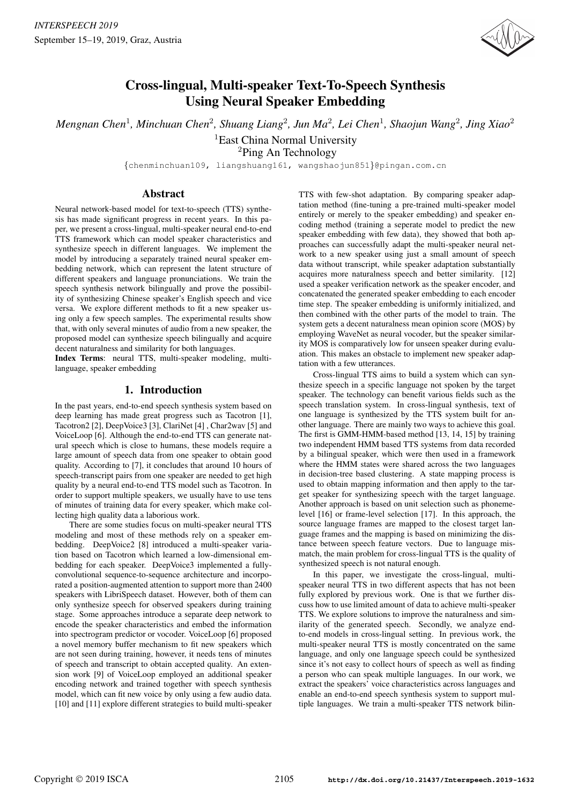

# Cross-lingual, Multi-speaker Text-To-Speech Synthesis Using Neural Speaker Embedding

*Mengnan Chen*<sup>1</sup> *, Minchuan Chen*<sup>2</sup> *, Shuang Liang*<sup>2</sup> *, Jun Ma*<sup>2</sup> *, Lei Chen*<sup>1</sup> *, Shaojun Wang*<sup>2</sup> *, Jing Xiao*<sup>2</sup>

<sup>1</sup>East China Normal University <sup>2</sup>Ping An Technology

{chenminchuan109, liangshuang161, wangshaojun851}@pingan.com.cn

## Abstract

Neural network-based model for text-to-speech (TTS) synthesis has made significant progress in recent years. In this paper, we present a cross-lingual, multi-speaker neural end-to-end TTS framework which can model speaker characteristics and synthesize speech in different languages. We implement the model by introducing a separately trained neural speaker embedding network, which can represent the latent structure of different speakers and language pronunciations. We train the speech synthesis network bilingually and prove the possibility of synthesizing Chinese speaker's English speech and vice versa. We explore different methods to fit a new speaker using only a few speech samples. The experimental results show that, with only several minutes of audio from a new speaker, the proposed model can synthesize speech bilingually and acquire decent naturalness and similarity for both languages.

Index Terms: neural TTS, multi-speaker modeling, multilanguage, speaker embedding

## 1. Introduction

In the past years, end-to-end speech synthesis system based on deep learning has made great progress such as Tacotron [1], Tacotron2 [2], DeepVoice3 [3], ClariNet [4] , Char2wav [5] and VoiceLoop [6]. Although the end-to-end TTS can generate natural speech which is close to humans, these models require a large amount of speech data from one speaker to obtain good quality. According to [7], it concludes that around 10 hours of speech-transcript pairs from one speaker are needed to get high quality by a neural end-to-end TTS model such as Tacotron. In order to support multiple speakers, we usually have to use tens of minutes of training data for every speaker, which make collecting high quality data a laborious work.

There are some studies focus on multi-speaker neural TTS modeling and most of these methods rely on a speaker embedding. DeepVoice2 [8] introduced a multi-speaker variation based on Tacotron which learned a low-dimensional embedding for each speaker. DeepVoice3 implemented a fullyconvolutional sequence-to-sequence architecture and incorporated a position-augmented attention to support more than 2400 speakers with LibriSpeech dataset. However, both of them can only synthesize speech for observed speakers during training stage. Some approaches introduce a separate deep network to encode the speaker characteristics and embed the information into spectrogram predictor or vocoder. VoiceLoop [6] proposed a novel memory buffer mechanism to fit new speakers which are not seen during training, however, it needs tens of minutes of speech and transcript to obtain accepted quality. An extension work [9] of VoiceLoop employed an additional speaker encoding network and trained together with speech synthesis model, which can fit new voice by only using a few audio data. [10] and [11] explore different strategies to build multi-speaker TTS with few-shot adaptation. By comparing speaker adaptation method (fine-tuning a pre-trained multi-speaker model entirely or merely to the speaker embedding) and speaker encoding method (training a seperate model to predict the new speaker embedding with few data), they showed that both approaches can successfully adapt the multi-speaker neural network to a new speaker using just a small amount of speech data without transcript, while speaker adaptation substantially acquires more naturalness speech and better similarity. [12] used a speaker verification network as the speaker encoder, and concatenated the generated speaker embedding to each encoder time step. The speaker embedding is uniformly initialized, and then combined with the other parts of the model to train. The system gets a decent naturalness mean opinion score (MOS) by employing WaveNet as neural vocoder, but the speaker similarity MOS is comparatively low for unseen speaker during evaluation. This makes an obstacle to implement new speaker adaptation with a few utterances.

Cross-lingual TTS aims to build a system which can synthesize speech in a specific language not spoken by the target speaker. The technology can benefit various fields such as the speech translation system. In cross-lingual synthesis, text of one language is synthesized by the TTS system built for another language. There are mainly two ways to achieve this goal. The first is GMM-HMM-based method [13, 14, 15] by training two independent HMM based TTS systems from data recorded by a bilingual speaker, which were then used in a framework where the HMM states were shared across the two languages in decision-tree based clustering. A state mapping process is used to obtain mapping information and then apply to the target speaker for synthesizing speech with the target language. Another approach is based on unit selection such as phonemelevel [16] or frame-level selection [17]. In this approach, the source language frames are mapped to the closest target language frames and the mapping is based on minimizing the distance between speech feature vectors. Due to language mismatch, the main problem for cross-lingual TTS is the quality of synthesized speech is not natural enough.

In this paper, we investigate the cross-lingual, multispeaker neural TTS in two different aspects that has not been fully explored by previous work. One is that we further discuss how to use limited amount of data to achieve multi-speaker TTS. We explore solutions to improve the naturalness and similarity of the generated speech. Secondly, we analyze endto-end models in cross-lingual setting. In previous work, the multi-speaker neural TTS is mostly concentrated on the same language, and only one language speech could be synthesized since it's not easy to collect hours of speech as well as finding a person who can speak multiple languages. In our work, we extract the speakers' voice characteristics across languages and enable an end-to-end speech synthesis system to support multiple languages. We train a multi-speaker TTS network bilin-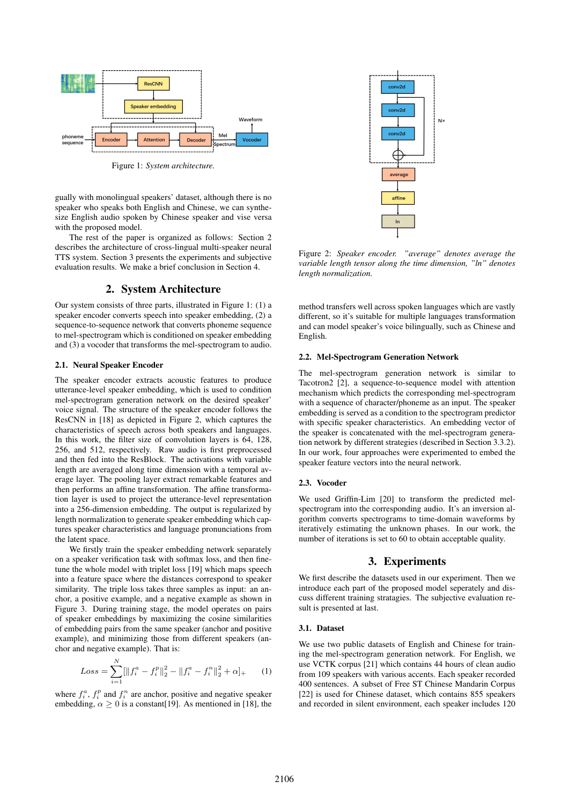

Figure 1: *System architecture.*

gually with monolingual speakers' dataset, although there is no speaker who speaks both English and Chinese, we can synthesize English audio spoken by Chinese speaker and vise versa with the proposed model.

The rest of the paper is organized as follows: Section 2 describes the architecture of cross-lingual multi-speaker neural TTS system. Section 3 presents the experiments and subjective evaluation results. We make a brief conclusion in Section 4.

# 2. System Architecture

Our system consists of three parts, illustrated in Figure 1: (1) a speaker encoder converts speech into speaker embedding, (2) a sequence-to-sequence network that converts phoneme sequence to mel-spectrogram which is conditioned on speaker embedding and (3) a vocoder that transforms the mel-spectrogram to audio.

## 2.1. Neural Speaker Encoder

The speaker encoder extracts acoustic features to produce utterance-level speaker embedding, which is used to condition mel-spectrogram generation network on the desired speaker' voice signal. The structure of the speaker encoder follows the ResCNN in [18] as depicted in Figure 2, which captures the characteristics of speech across both speakers and languages. In this work, the filter size of convolution layers is 64, 128, 256, and 512, respectively. Raw audio is first preprocessed and then fed into the ResBlock. The activations with variable length are averaged along time dimension with a temporal average layer. The pooling layer extract remarkable features and then performs an affine transformation. The affine transformation layer is used to project the utterance-level representation into a 256-dimension embedding. The output is regularized by length normalization to generate speaker embedding which captures speaker characteristics and language pronunciations from the latent space.

We firstly train the speaker embedding network separately on a speaker verification task with softmax loss, and then finetune the whole model with triplet loss [19] which maps speech into a feature space where the distances correspond to speaker similarity. The triple loss takes three samples as input: an anchor, a positive example, and a negative example as shown in Figure 3. During training stage, the model operates on pairs of speaker embeddings by maximizing the cosine similarities of embedding pairs from the same speaker (anchor and positive example), and minimizing those from different speakers (anchor and negative example). That is:

$$
Loss = \sum_{i=1}^{N} [\left\| f_i^a - f_i^p \right\|_2^2 - \left\| f_i^a - f_i^n \right\|_2^2 + \alpha]_+ \tag{1}
$$

where  $f_i^a$ ,  $f_i^p$  and  $f_i^n$  are anchor, positive and negative speaker embedding,  $\alpha \geq 0$  is a constant [19]. As mentioned in [18], the



Figure 2: *Speaker encoder. "average" denotes average the variable length tensor along the time dimension, "ln" denotes length normalization.*

method transfers well across spoken languages which are vastly different, so it's suitable for multiple languages transformation and can model speaker's voice bilingually, such as Chinese and English.

#### 2.2. Mel-Spectrogram Generation Network

The mel-spectrogram generation network is similar to Tacotron2 [2], a sequence-to-sequence model with attention mechanism which predicts the corresponding mel-spectrogram with a sequence of character/phoneme as an input. The speaker embedding is served as a condition to the spectrogram predictor with specific speaker characteristics. An embedding vector of the speaker is concatenated with the mel-spectrogram generation network by different strategies (described in Section 3.3.2). In our work, four approaches were experimented to embed the speaker feature vectors into the neural network.

### 2.3. Vocoder

We used Griffin-Lim [20] to transform the predicted melspectrogram into the corresponding audio. It's an inversion algorithm converts spectrograms to time-domain waveforms by iteratively estimating the unknown phases. In our work, the number of iterations is set to 60 to obtain acceptable quality.

# 3. Experiments

We first describe the datasets used in our experiment. Then we introduce each part of the proposed model seperately and discuss different training stratagies. The subjective evaluation result is presented at last.

#### 3.1. Dataset

We use two public datasets of English and Chinese for training the mel-spectrogram generation network. For English, we use VCTK corpus [21] which contains 44 hours of clean audio from 109 speakers with various accents. Each speaker recorded 400 sentences. A subset of Free ST Chinese Mandarin Corpus [22] is used for Chinese dataset, which contains 855 speakers and recorded in silent environment, each speaker includes 120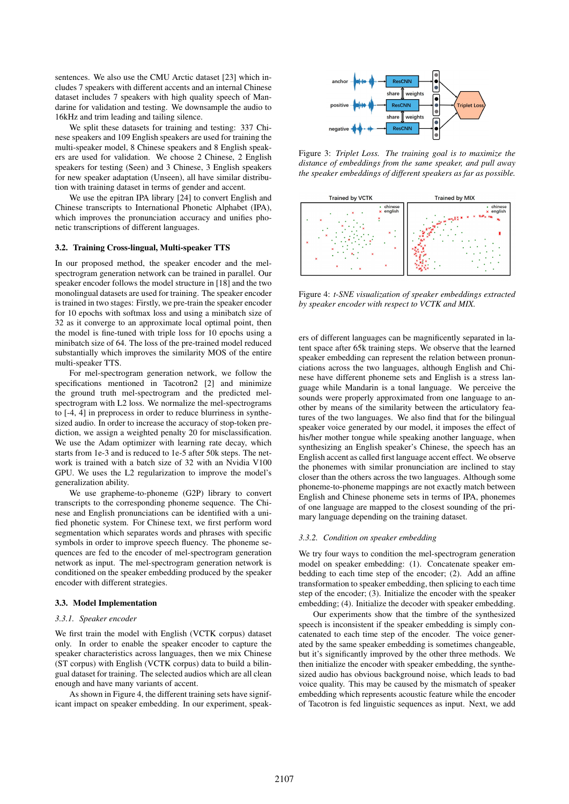sentences. We also use the CMU Arctic dataset [23] which includes 7 speakers with different accents and an internal Chinese dataset includes 7 speakers with high quality speech of Mandarine for validation and testing. We downsample the audio to 16kHz and trim leading and tailing silence.

We split these datasets for training and testing: 337 Chinese speakers and 109 English speakers are used for training the multi-speaker model, 8 Chinese speakers and 8 English speakers are used for validation. We choose 2 Chinese, 2 English speakers for testing (Seen) and 3 Chinese, 3 English speakers for new speaker adaptation (Unseen), all have similar distribution with training dataset in terms of gender and accent.

We use the epitran IPA library [24] to convert English and Chinese transcripts to International Phonetic Alphabet (IPA), which improves the pronunciation accuracy and unifies phonetic transcriptions of different languages.

#### 3.2. Training Cross-lingual, Multi-speaker TTS

In our proposed method, the speaker encoder and the melspectrogram generation network can be trained in parallel. Our speaker encoder follows the model structure in [18] and the two monolingual datasets are used for training. The speaker encoder is trained in two stages: Firstly, we pre-train the speaker encoder for 10 epochs with softmax loss and using a minibatch size of 32 as it converge to an approximate local optimal point, then the model is fine-tuned with triple loss for 10 epochs using a minibatch size of 64. The loss of the pre-trained model reduced substantially which improves the similarity MOS of the entire multi-speaker TTS.

For mel-spectrogram generation network, we follow the specifications mentioned in Tacotron2 [2] and minimize the ground truth mel-spectrogram and the predicted melspectrogram with L2 loss. We normalize the mel-spectrograms to [-4, 4] in preprocess in order to reduce blurriness in synthesized audio. In order to increase the accuracy of stop-token prediction, we assign a weighted penalty 20 for misclassification. We use the Adam optimizer with learning rate decay, which starts from 1e-3 and is reduced to 1e-5 after 50k steps. The network is trained with a batch size of 32 with an Nvidia V100 GPU. We uses the L2 regularization to improve the model's generalization ability.

We use grapheme-to-phoneme (G2P) library to convert transcripts to the corresponding phoneme sequence. The Chinese and English pronunciations can be identified with a unified phonetic system. For Chinese text, we first perform word segmentation which separates words and phrases with specific symbols in order to improve speech fluency. The phoneme sequences are fed to the encoder of mel-spectrogram generation network as input. The mel-spectrogram generation network is conditioned on the speaker embedding produced by the speaker encoder with different strategies.

#### 3.3. Model Implementation

#### *3.3.1. Speaker encoder*

We first train the model with English (VCTK corpus) dataset only. In order to enable the speaker encoder to capture the speaker characteristics across languages, then we mix Chinese (ST corpus) with English (VCTK corpus) data to build a bilingual dataset for training. The selected audios which are all clean enough and have many variants of accent.

As shown in Figure 4, the different training sets have significant impact on speaker embedding. In our experiment, speak-



Figure 3: *Triplet Loss. The training goal is to maximize the distance of embeddings from the same speaker, and pull away the speaker embeddings of different speakers as far as possible.*



Figure 4: *t-SNE visualization of speaker embeddings extracted by speaker encoder with respect to VCTK and MIX.*

ers of different languages can be magnificently separated in latent space after 65k training steps. We observe that the learned speaker embedding can represent the relation between pronunciations across the two languages, although English and Chinese have different phoneme sets and English is a stress language while Mandarin is a tonal language. We perceive the sounds were properly approximated from one language to another by means of the similarity between the articulatory features of the two languages. We also find that for the bilingual speaker voice generated by our model, it imposes the effect of his/her mother tongue while speaking another language, when synthesizing an English speaker's Chinese, the speech has an English accent as called first language accent effect. We observe the phonemes with similar pronunciation are inclined to stay closer than the others across the two languages. Although some phoneme-to-phoneme mappings are not exactly match between English and Chinese phoneme sets in terms of IPA, phonemes of one language are mapped to the closest sounding of the primary language depending on the training dataset.

#### *3.3.2. Condition on speaker embedding*

We try four ways to condition the mel-spectrogram generation model on speaker embedding: (1). Concatenate speaker embedding to each time step of the encoder; (2). Add an affine transformation to speaker embedding, then splicing to each time step of the encoder; (3). Initialize the encoder with the speaker embedding; (4). Initialize the decoder with speaker embedding.

Our experiments show that the timbre of the synthesized speech is inconsistent if the speaker embedding is simply concatenated to each time step of the encoder. The voice generated by the same speaker embedding is sometimes changeable, but it's significantly improved by the other three methods. We then initialize the encoder with speaker embedding, the synthesized audio has obvious background noise, which leads to bad voice quality. This may be caused by the mismatch of speaker embedding which represents acoustic feature while the encoder of Tacotron is fed linguistic sequences as input. Next, we add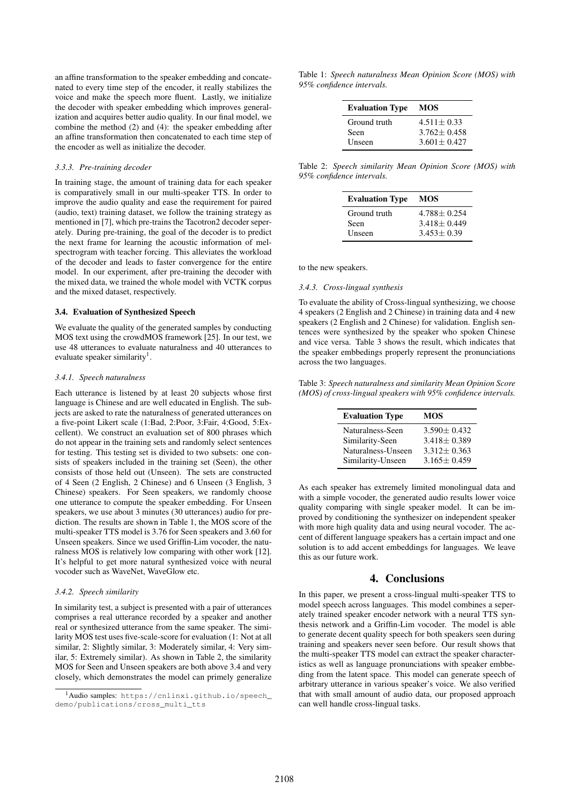an affine transformation to the speaker embedding and concatenated to every time step of the encoder, it really stabilizes the voice and make the speech more fluent. Lastly, we initialize the decoder with speaker embedding which improves generalization and acquires better audio quality. In our final model, we combine the method (2) and (4): the speaker embedding after an affine transformation then concatenated to each time step of the encoder as well as initialize the decoder.

#### *3.3.3. Pre-training decoder*

In training stage, the amount of training data for each speaker is comparatively small in our multi-speaker TTS. In order to improve the audio quality and ease the requirement for paired (audio, text) training dataset, we follow the training strategy as mentioned in [7], which pre-trains the Tacotron2 decoder seperately. During pre-training, the goal of the decoder is to predict the next frame for learning the acoustic information of melspectrogram with teacher forcing. This alleviates the workload of the decoder and leads to faster convergence for the entire model. In our experiment, after pre-training the decoder with the mixed data, we trained the whole model with VCTK corpus and the mixed dataset, respectively.

#### 3.4. Evaluation of Synthesized Speech

We evaluate the quality of the generated samples by conducting MOS text using the crowdMOS framework [25]. In our test, we use 48 utterances to evaluate naturalness and 40 utterances to evaluate speaker similarity<sup>1</sup>.

#### *3.4.1. Speech naturalness*

Each utterance is listened by at least 20 subjects whose first language is Chinese and are well educated in English. The subjects are asked to rate the naturalness of generated utterances on a five-point Likert scale (1:Bad, 2:Poor, 3:Fair, 4:Good, 5:Excellent). We construct an evaluation set of 800 phrases which do not appear in the training sets and randomly select sentences for testing. This testing set is divided to two subsets: one consists of speakers included in the training set (Seen), the other consists of those held out (Unseen). The sets are constructed of 4 Seen (2 English, 2 Chinese) and 6 Unseen (3 English, 3 Chinese) speakers. For Seen speakers, we randomly choose one utterance to compute the speaker embedding. For Unseen speakers, we use about 3 minutes (30 utterances) audio for prediction. The results are shown in Table 1, the MOS score of the multi-speaker TTS model is 3.76 for Seen speakers and 3.60 for Unseen speakers. Since we used Griffin-Lim vocoder, the naturalness MOS is relatively low comparing with other work [12]. It's helpful to get more natural synthesized voice with neural vocoder such as WaveNet, WaveGlow etc.

### *3.4.2. Speech similarity*

In similarity test, a subject is presented with a pair of utterances comprises a real utterance recorded by a speaker and another real or synthesized utterance from the same speaker. The similarity MOS test uses five-scale-score for evaluation (1: Not at all similar, 2: Slightly similar, 3: Moderately similar, 4: Very similar, 5: Extremely similar). As shown in Table 2, the similarity MOS for Seen and Unseen speakers are both above 3.4 and very closely, which demonstrates the model can primely generalize

Table 1: *Speech naturalness Mean Opinion Score (MOS) with 95% confidence intervals.*

| <b>Evaluation Type</b> | <b>MOS</b>      |
|------------------------|-----------------|
| Ground truth           | $4.511 + 0.33$  |
| Seen                   | $3.762 + 0.458$ |
| Unseen                 | $3.601 + 0.427$ |

Table 2: *Speech similarity Mean Opinion Score (MOS) with 95% confidence intervals.*

| <b>Evaluation Type</b> | <b>MOS</b>      |
|------------------------|-----------------|
| Ground truth           | $4.788 + 0.254$ |
| Seen                   | $3.418 + 0.449$ |
| Unseen                 | $3.453 + 0.39$  |

to the new speakers.

## *3.4.3. Cross-lingual synthesis*

To evaluate the ability of Cross-lingual synthesizing, we choose 4 speakers (2 English and 2 Chinese) in training data and 4 new speakers (2 English and 2 Chinese) for validation. English sentences were synthesized by the speaker who spoken Chinese and vice versa. Table 3 shows the result, which indicates that the speaker embbedings properly represent the pronunciations across the two languages.

Table 3: *Speech naturalness and similarity Mean Opinion Score (MOS) of cross-lingual speakers with 95% confidence intervals.*

| <b>Evaluation Type</b> | MOS               |
|------------------------|-------------------|
| Naturalness-Seen       | $3.590 + 0.432$   |
| Similarity-Seen        | $3.418 + 0.389$   |
| Naturalness-Unseen     | $3.312 + 0.363$   |
| Similarity-Unseen      | $3.165 \pm 0.459$ |

As each speaker has extremely limited monolingual data and with a simple vocoder, the generated audio results lower voice quality comparing with single speaker model. It can be improved by conditioning the synthesizer on independent speaker with more high quality data and using neural vocoder. The accent of different language speakers has a certain impact and one solution is to add accent embeddings for languages. We leave this as our future work.

# 4. Conclusions

In this paper, we present a cross-lingual multi-speaker TTS to model speech across languages. This model combines a seperately trained speaker encoder network with a neural TTS synthesis network and a Griffin-Lim vocoder. The model is able to generate decent quality speech for both speakers seen during training and speakers never seen before. Our result shows that the multi-speaker TTS model can extract the speaker characteristics as well as language pronunciations with speaker embbeding from the latent space. This model can generate speech of arbitrary utterance in various speaker's voice. We also verified that with small amount of audio data, our proposed approach can well handle cross-lingual tasks.

<sup>1</sup>Audio samples: https://cnlinxi.github.io/speech\_ demo/publications/cross\_multi\_tts